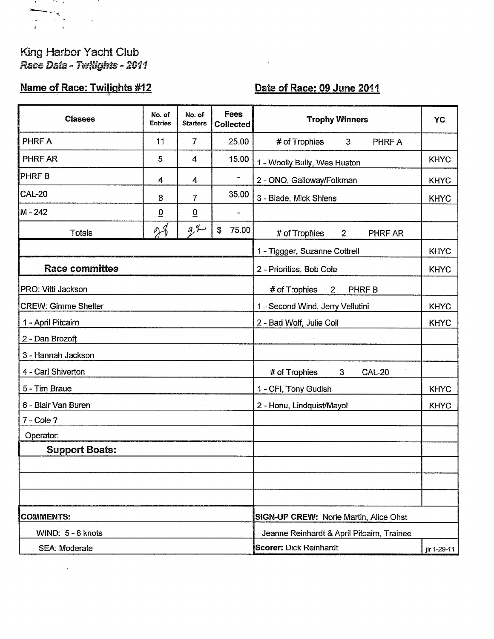## King Harbor Yacht Club Race Data - Twilights - 2011

 $\sim$ 

and the property of the control of

## **Name of Race: Twilights #12**

## Date of Race: 09 June 2011

 $\mathcal{L}$ 

 $\hat{\mathbf{v}}$ 

| <b>Classes</b>             | No. of<br><b>Entries</b> | No. of<br><b>Starters</b> | <b>Fees</b><br><b>Collected</b>                 | <b>Trophy Winners</b>                            | YC          |
|----------------------------|--------------------------|---------------------------|-------------------------------------------------|--------------------------------------------------|-------------|
| PHRF A                     | 11                       | $\overline{7}$            | 25.00                                           | # of Trophies<br>$\mathbf{3}$<br>PHRF A          |             |
| PHRF AR                    | 5                        | 4                         | 15.00                                           | 1 - Woolly Bully, Wes Huston                     | <b>KHYC</b> |
| <b>PHRFB</b>               | 4                        | 4                         |                                                 | 2 - ONO, Galloway/Folkman                        | <b>KHYC</b> |
| <b>CAL-20</b>              | 8                        | $\overline{7}$            | 35.00                                           | 3 - Blade, Mick Shlens                           | <b>KHYC</b> |
| M-242                      | $\overline{0}$           | $\underline{0}$           |                                                 |                                                  |             |
| <b>Totals</b>              | 29                       | 94                        | \$<br>75.00                                     | $2^{\circ}$<br># of Trophies<br><b>PHRF AR</b>   |             |
|                            |                          |                           |                                                 | 1 - Tiggger, Suzanne Cottrell                    | <b>KHYC</b> |
| <b>Race committee</b>      |                          |                           |                                                 | 2 - Priorities, Bob Cole                         | <b>KHYC</b> |
| PRO: Vitti Jackson         |                          |                           |                                                 | # of Trophies<br>$\overline{2}$<br>PHRF B        |             |
| <b>CREW: Gimme Shelter</b> |                          |                           | <b>KHYC</b><br>1 - Second Wind, Jerry Vellutini |                                                  |             |
| 1 - April Pitcairn         |                          |                           | 2 - Bad Wolf, Julie Coll                        | <b>KHYC</b>                                      |             |
| 2 - Dan Brozoft            |                          |                           |                                                 |                                                  |             |
| 3 - Hannah Jackson         |                          |                           |                                                 |                                                  |             |
| 4 - Carl Shiverton         |                          |                           |                                                 | # of Trophies<br>3 <sup>1</sup><br><b>CAL-20</b> |             |
| 5 - Tim Braue              |                          |                           |                                                 | 1 - CFI, Tony Gudish                             | <b>KHYC</b> |
| 6 - Blair Van Buren        |                          | 2 - Honu, Lindquist/Mayol | <b>KHYC</b>                                     |                                                  |             |
| $7 - \text{Cole}$ ?        |                          |                           |                                                 |                                                  |             |
| Operator:                  |                          |                           |                                                 |                                                  |             |
| <b>Support Boats:</b>      |                          |                           |                                                 |                                                  |             |
|                            |                          |                           |                                                 |                                                  |             |
|                            |                          |                           |                                                 |                                                  |             |
|                            |                          |                           |                                                 |                                                  |             |
| <b>COMMENTS:</b>           |                          |                           | <b>SIGN-UP CREW: Norie Martin, Alice Ohst</b>   |                                                  |             |
| WIND: 5 - 8 knots          |                          |                           | Jeanne Reinhardt & April Pitcairn, Trainee      |                                                  |             |
| <b>SEA: Moderate</b>       |                          |                           | <b>Scorer: Dick Reinhardt</b><br>jir 1-29-11    |                                                  |             |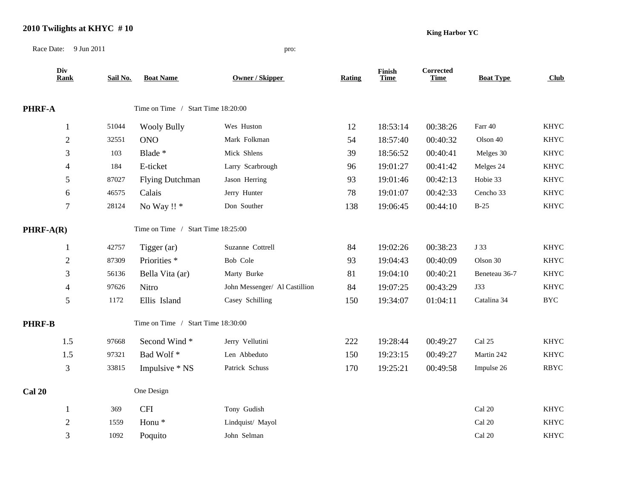## **2010 Twilights at KHYC # 10**

**King Harbor YC**

Race Date: 9 Jun 2011 pro:

| Div<br><b>Rank</b> | Sail No. | <b>Boat Name</b>                   | Owner / Skipper               | <b>Rating</b> | <b>Finish</b><br><b>Time</b> | Corrected<br><b>Time</b> | <b>Boat Type</b> | Club        |  |
|--------------------|----------|------------------------------------|-------------------------------|---------------|------------------------------|--------------------------|------------------|-------------|--|
| PHRF-A             |          | Time on Time / Start Time 18:20:00 |                               |               |                              |                          |                  |             |  |
| 1                  | 51044    | <b>Wooly Bully</b>                 | Wes Huston                    | 12            | 18:53:14                     | 00:38:26                 | Farr 40          | <b>KHYC</b> |  |
| $\overline{2}$     | 32551    | <b>ONO</b>                         | Mark Folkman                  | 54            | 18:57:40                     | 00:40:32                 | Olson 40         | <b>KHYC</b> |  |
| 3                  | 103      | Blade *                            | Mick Shlens                   | 39            | 18:56:52                     | 00:40:41                 | Melges 30        | <b>KHYC</b> |  |
| 4                  | 184      | E-ticket                           | Larry Scarbrough              | 96            | 19:01:27                     | 00:41:42                 | Melges 24        | <b>KHYC</b> |  |
| 5                  | 87027    | <b>Flying Dutchman</b>             | Jason Herring                 | 93            | 19:01:46                     | 00:42:13                 | Hobie 33         | <b>KHYC</b> |  |
| 6                  | 46575    | Calais                             | Jerry Hunter                  | 78            | 19:01:07                     | 00:42:33                 | Cencho 33        | <b>KHYC</b> |  |
| $\boldsymbol{7}$   | 28124    | No Way !! *                        | Don Souther                   | 138           | 19:06:45                     | 00:44:10                 | $B-25$           | <b>KHYC</b> |  |
| $PHRF-A(R)$        |          | Time on Time / Start Time 18:25:00 |                               |               |                              |                          |                  |             |  |
| $\mathbf{1}$       | 42757    | Tigger (ar)                        | Suzanne Cottrell              | 84            | 19:02:26                     | 00:38:23                 | J 33             | <b>KHYC</b> |  |
| $\mathbf{2}$       | 87309    | Priorities <sup>*</sup>            | Bob Cole                      | 93            | 19:04:43                     | 00:40:09                 | Olson 30         | <b>KHYC</b> |  |
| 3                  | 56136    | Bella Vita (ar)                    | Marty Burke                   | 81            | 19:04:10                     | 00:40:21                 | Beneteau 36-7    | <b>KHYC</b> |  |
| 4                  | 97626    | Nitro                              | John Messenger/ Al Castillion | 84            | 19:07:25                     | 00:43:29                 | J33              | <b>KHYC</b> |  |
| 5                  | 1172     | Ellis Island                       | Casey Schilling               | 150           | 19:34:07                     | 01:04:11                 | Catalina 34      | <b>BYC</b>  |  |
| <b>PHRF-B</b>      |          | Time on Time / Start Time 18:30:00 |                               |               |                              |                          |                  |             |  |
| 1.5                | 97668    | Second Wind*                       | Jerry Vellutini               | 222           | 19:28:44                     | 00:49:27                 | Cal 25           | <b>KHYC</b> |  |
| 1.5                | 97321    | Bad Wolf*                          | Len Abbeduto                  | 150           | 19:23:15                     | 00:49:27                 | Martin 242       | <b>KHYC</b> |  |
| 3                  | 33815    | Impulsive * NS                     | Patrick Schuss                | 170           | 19:25:21                     | 00:49:58                 | Impulse 26       | <b>RBYC</b> |  |
| <b>Cal 20</b>      |          | One Design                         |                               |               |                              |                          |                  |             |  |
| 1                  | 369      | <b>CFI</b>                         | Tony Gudish                   |               |                              |                          | Cal 20           | <b>KHYC</b> |  |
| $\overline{2}$     | 1559     | Honu <sup>*</sup>                  | Lindquist/ Mayol              |               |                              |                          | Cal 20           | <b>KHYC</b> |  |
| 3                  | 1092     | Poquito                            | John Selman                   |               |                              |                          | Cal 20           | <b>KHYC</b> |  |